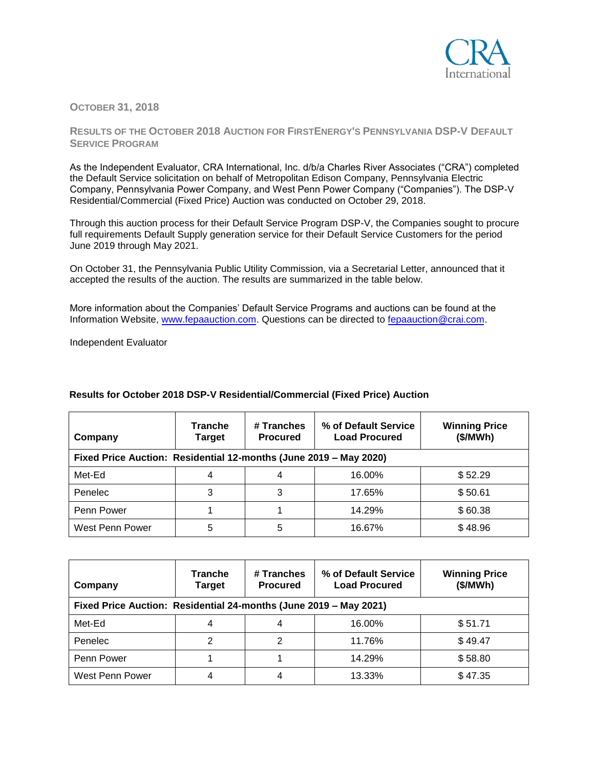

## **OCTOBER 31, 2018**

## **RESULTS OF THE OCTOBER 2018 AUCTION FOR FIRSTENERGY'S PENNSYLVANIA DSP-V DEFAULT SERVICE PROGRAM**

As the Independent Evaluator, CRA International, Inc. d/b/a Charles River Associates ("CRA") completed the Default Service solicitation on behalf of Metropolitan Edison Company, Pennsylvania Electric Company, Pennsylvania Power Company, and West Penn Power Company ("Companies"). The DSP-V Residential/Commercial (Fixed Price) Auction was conducted on October 29, 2018.

Through this auction process for their Default Service Program DSP-V, the Companies sought to procure full requirements Default Supply generation service for their Default Service Customers for the period June 2019 through May 2021.

On October 31, the Pennsylvania Public Utility Commission, via a Secretarial Letter, announced that it accepted the results of the auction. The results are summarized in the table below.

More information about the Companies' Default Service Programs and auctions can be found at the Information Website, [www.fepaauction.com.](http://www.fepaauction.com/) Questions can be directed to [fepaauction@crai.com.](mailto:fepaauction@crai.com) 

Independent Evaluator

| Company                                                           | <b>Tranche</b><br>Target | # Tranches<br><b>Procured</b> | % of Default Service<br><b>Load Procured</b> | <b>Winning Price</b><br>(\$/MWh) |  |
|-------------------------------------------------------------------|--------------------------|-------------------------------|----------------------------------------------|----------------------------------|--|
| Fixed Price Auction: Residential 12-months (June 2019 - May 2020) |                          |                               |                                              |                                  |  |
| Met-Ed                                                            |                          | 4                             | 16.00%                                       | \$52.29                          |  |
| Penelec                                                           |                          | 3                             | 17.65%                                       | \$50.61                          |  |
| Penn Power                                                        |                          |                               | 14.29%                                       | \$60.38                          |  |
| West Penn Power                                                   | 5                        | 5                             | 16.67%                                       | \$48.96                          |  |

## **Results for October 2018 DSP-V Residential/Commercial (Fixed Price) Auction**

| Company<br>Fixed Price Auction: Residential 24-months (June 2019 - May 2021) | <b>Tranche</b><br>Target | # Tranches<br><b>Procured</b> | % of Default Service<br><b>Load Procured</b> | <b>Winning Price</b><br>(\$/MWh) |
|------------------------------------------------------------------------------|--------------------------|-------------------------------|----------------------------------------------|----------------------------------|
| Met-Ed                                                                       |                          |                               | 16.00%                                       | \$51.71                          |
| Penelec                                                                      | 2                        |                               | 11.76%                                       | \$49.47                          |
| Penn Power                                                                   |                          |                               | 14.29%                                       | \$58.80                          |
| West Penn Power                                                              |                          | 4                             | 13.33%                                       | \$47.35                          |